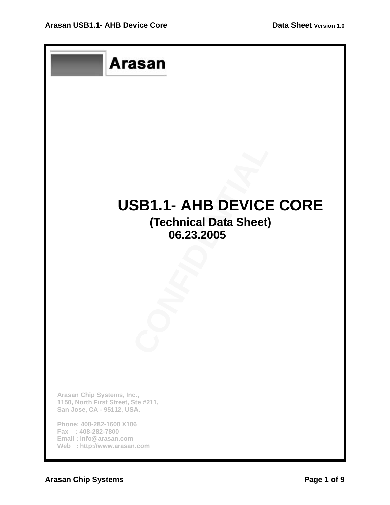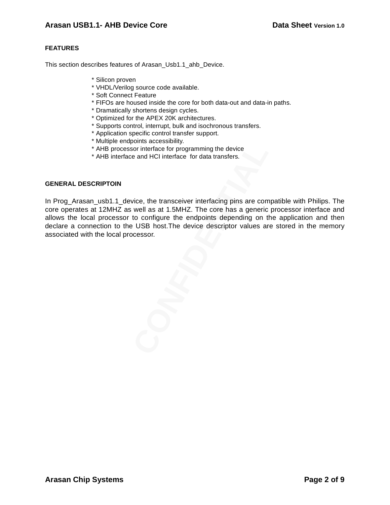### **FEATURES**

This section describes features of Arasan Usb1.1 ahb Device.

- \* Silicon proven
- \* VHDL/Verilog source code available.
- \* Soft Connect Feature
- \* FIFOs are housed inside the core for both data-out and data-in paths.
- \* Dramatically shortens design cycles.
- \* Optimized for the APEX 20K architectures.
- \* Supports control, interrupt, bulk and isochronous transfers.
- \* Application specific control transfer support.
- \* Multiple endpoints accessibility.
- \* AHB processor interface for programming the device
- \* AHB interface and HCI interface for data transfers.

#### **GENERAL DESCRIPTOIN**

Sor interface for programming the device<br>e and HCI interface for programming the device<br>e and HCI interface for data transfers.<br>Vice, the transceiver interfacing pins are com<br>well as at 1.5MHZ. The core has a generic<br>to co In Prog\_Arasan\_usb1.1\_device, the transceiver interfacing pins are compatible with Philips. The core operates at 12MHZ as well as at 1.5MHZ. The core has a generic processor interface and allows the local processor to configure the endpoints depending on the application and then declare a connection to the USB host.The device descriptor values are stored in the memory associated with the local processor.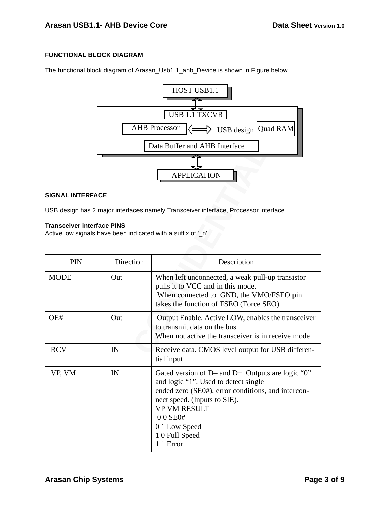### **FUNCTIONAL BLOCK DIAGRAM**

The functional block diagram of Arasan\_Usb1.1\_ahb\_Device is shown in Figure below



#### **SIGNAL INTERFACE**

#### **Transceiver interface PINS**

|                                                                                                    |           | Data Buffer and AHB Interface                                                                                                                                                                                                                                        |  |  |  |  |
|----------------------------------------------------------------------------------------------------|-----------|----------------------------------------------------------------------------------------------------------------------------------------------------------------------------------------------------------------------------------------------------------------------|--|--|--|--|
|                                                                                                    |           |                                                                                                                                                                                                                                                                      |  |  |  |  |
|                                                                                                    |           | <b>APPLICATION</b>                                                                                                                                                                                                                                                   |  |  |  |  |
| <b>SIGNAL INTERFACE</b>                                                                            |           |                                                                                                                                                                                                                                                                      |  |  |  |  |
| USB design has 2 major interfaces namely Transceiver interface, Processor interface.               |           |                                                                                                                                                                                                                                                                      |  |  |  |  |
| <b>Transceiver interface PINS</b><br>Active low signals have been indicated with a suffix of '_n'. |           |                                                                                                                                                                                                                                                                      |  |  |  |  |
| PIN                                                                                                | Direction | Description                                                                                                                                                                                                                                                          |  |  |  |  |
| <b>MODE</b>                                                                                        | Out       | When left unconnected, a weak pull-up transistor<br>pulls it to VCC and in this mode.<br>When connected to GND, the VMO/FSEO pin<br>takes the function of FSEO (Force SEO).                                                                                          |  |  |  |  |
| OE#                                                                                                | Out       | Output Enable. Active LOW, enables the transceiver<br>to transmit data on the bus.<br>When not active the transceiver is in receive mode                                                                                                                             |  |  |  |  |
| <b>RCV</b>                                                                                         | IN        | Receive data. CMOS level output for USB differen-<br>tial input                                                                                                                                                                                                      |  |  |  |  |
| VP, VM                                                                                             | IN        | Gated version of D– and D+. Outputs are logic " $0$ "<br>and logic "1". Used to detect single<br>ended zero (SE0#), error conditions, and intercon-<br>nect speed. (Inputs to SIE).<br><b>VP VM RESULT</b><br>00 SE0#<br>0 1 Low Speed<br>10 Full Speed<br>1 1 Error |  |  |  |  |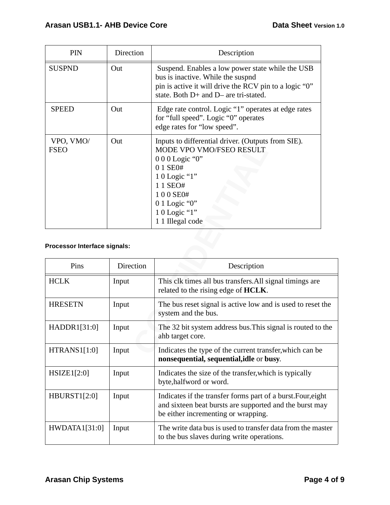| <b>PIN</b>               | Direction | Description                                                                                                                                                                                                    |
|--------------------------|-----------|----------------------------------------------------------------------------------------------------------------------------------------------------------------------------------------------------------------|
| <b>SUSPND</b>            | Out       | Suspend. Enables a low power state while the USB<br>bus is inactive. While the suspnd<br>pin is active it will drive the RCV pin to a logic "0"<br>state. Both D+ and D– are tri-stated.                       |
| <b>SPEED</b>             | Out       | Edge rate control. Logic "1" operates at edge rates<br>for "full speed". Logic "0" operates<br>edge rates for "low speed".                                                                                     |
| VPO, VMO/<br><b>FSEO</b> | Out       | Inputs to differential driver. (Outputs from SIE).<br>MODE VPO VMO/FSEO RESULT<br>$000$ Logic "0"<br>0 1 SE0#<br>$10$ Logic "1"<br>1 1 SEO#<br>100 SE0#<br>$0.1$ Logic "0"<br>10 Logic "1"<br>1 1 Illegal code |

# **Processor Interface signals:**

| V1U, VNU<br><b>FSEO</b>      | vui       | Imputs to unterential uriver. (Outputs from SIE).<br>MODE VPO VMO/FSEO RESULT<br>$000$ Logic "0"<br>0 1 SE0#<br>1 0 Logic "1"<br>1 1 SEO#<br>100 SE0#<br>$01$ Logic "0"<br>1 0 Logic "1"<br>1 1 Illegal code |  |
|------------------------------|-----------|--------------------------------------------------------------------------------------------------------------------------------------------------------------------------------------------------------------|--|
| Processor Interface signals: |           |                                                                                                                                                                                                              |  |
| Pins                         | Direction | Description                                                                                                                                                                                                  |  |
| <b>HCLK</b>                  | Input     | This clk times all bus transfers. All signal timings are<br>related to the rising edge of HCLK.                                                                                                              |  |
| <b>HRESETN</b>               | Input     | The bus reset signal is active low and is used to reset the<br>system and the bus.                                                                                                                           |  |
| HADDR1[31:0]                 | Input     | The 32 bit system address bus. This signal is routed to the<br>ahb target core.                                                                                                                              |  |
| <b>HTRANS1[1:0]</b>          | Input     | Indicates the type of the current transfer, which can be<br>nonsequential, sequential, idle or busy.                                                                                                         |  |
| HSIZE1[2:0]                  | Input     | Indicates the size of the transfer, which is typically<br>byte, halfword or word.                                                                                                                            |  |
| <b>HBURST1[2:0]</b>          | Input     | Indicates if the transfer forms part of a burst. Four, eight<br>and sixteen beat bursts are supported and the burst may<br>be either incrementing or wrapping.                                               |  |
| HWDATA1[31:0]                | Input     | The write data bus is used to transfer data from the master<br>to the bus slaves during write operations.                                                                                                    |  |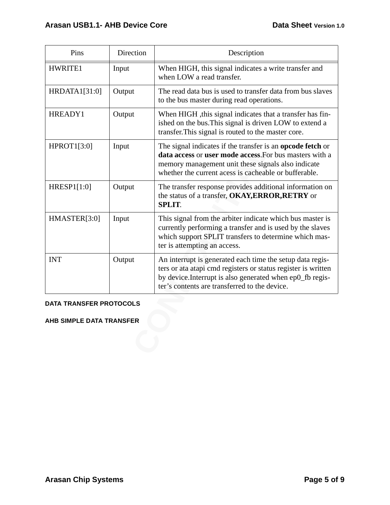| Pins                            | Direction | Description                                                                                                                                                                                                                                 |  |  |
|---------------------------------|-----------|---------------------------------------------------------------------------------------------------------------------------------------------------------------------------------------------------------------------------------------------|--|--|
| HWRITE1                         | Input     | When HIGH, this signal indicates a write transfer and<br>when LOW a read transfer.                                                                                                                                                          |  |  |
| HRDATA1[31:0]                   | Output    | The read data bus is used to transfer data from bus slaves<br>to the bus master during read operations.                                                                                                                                     |  |  |
| HREADY1                         | Output    | When HIGH , this signal indicates that a transfer has fin-<br>ished on the bus. This signal is driven LOW to extend a<br>transfer. This signal is routed to the master core.                                                                |  |  |
| <b>HPROT1[3:0]</b>              | Input     | The signal indicates if the transfer is an <b>opcode fetch</b> or<br>data access or user mode access. For bus masters with a<br>memory management unit these signals also indicate<br>whether the current acess is cacheable or bufferable. |  |  |
| HRESP1[1:0]                     | Output    | The transfer response provides additional information on<br>the status of a transfer, OKAY, ERROR, RETRY or<br><b>SPLIT.</b>                                                                                                                |  |  |
| HMASTER[3:0]                    | Input     | This signal from the arbiter indicate which bus master is<br>currently performing a transfer and is used by the slaves<br>which support SPLIT transfers to determine which mas-<br>ter is attempting an access.                             |  |  |
| <b>INT</b>                      | Output    | An interrupt is generated each time the setup data regis-<br>ters or ata atapi cmd registers or status register is written<br>by device. Interrupt is also generated when ep0_fb regis-<br>ter's contents are transferred to the device.    |  |  |
| <b>DATA TRANSFER PROTOCOLS</b>  |           |                                                                                                                                                                                                                                             |  |  |
| <b>AHB SIMPLE DATA TRANSFER</b> |           |                                                                                                                                                                                                                                             |  |  |
|                                 |           |                                                                                                                                                                                                                                             |  |  |
|                                 |           |                                                                                                                                                                                                                                             |  |  |

# **DATA TRANSFER PROTOCOLS**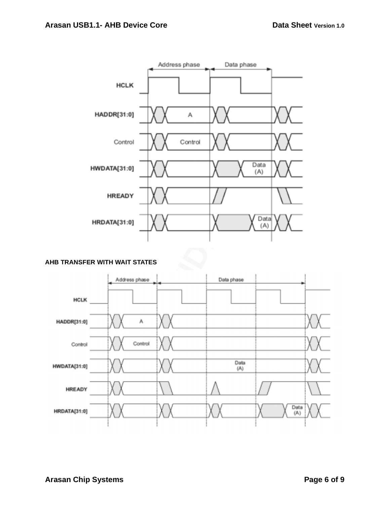

# **AHB TRANSFER WITH WAIT STATES**

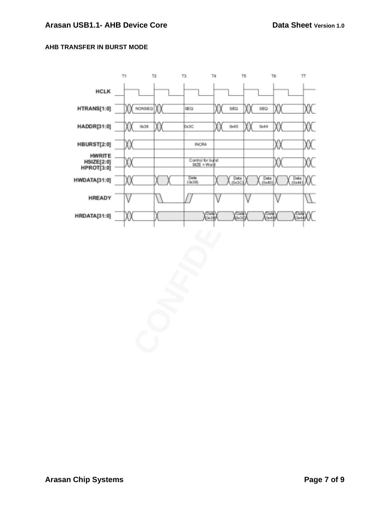# **AHB TRANSFER IN BURST MODE**

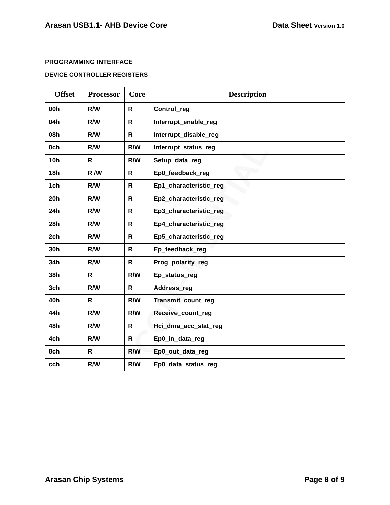### **PROGRAMMING INTERFACE**

## **DEVICE CONTROLLER REGISTERS**

| <b>Offset</b> | <b>Processor</b> | Core         | <b>Description</b>     |
|---------------|------------------|--------------|------------------------|
| 00h           | R/W              | $\mathsf{R}$ | Control_reg            |
| 04h           | R/W              | $\mathsf{R}$ | Interrupt_enable_reg   |
| 08h           | R/W              | $\mathsf{R}$ | Interrupt_disable_reg  |
| 0ch           | R/W              | R/W          | Interrupt_status_reg   |
| <b>10h</b>    | R                | <b>R/W</b>   | Setup_data_reg         |
| <b>18h</b>    | R/W              | R            | Ep0_feedback_reg       |
| 1ch           | <b>R/W</b>       | $\mathsf{R}$ | Ep1_characteristic_reg |
| 20h           | R/W              | $\mathsf{R}$ | Ep2_characteristic_reg |
| 24h           | R/W              | $\mathsf{R}$ | Ep3_characteristic_reg |
| 28h           | R/W              | $\mathsf{R}$ | Ep4_characteristic_reg |
| 2ch           | R/W              | $\mathsf{R}$ | Ep5_characteristic_reg |
| 30h           | R/W              | $\mathsf{R}$ | Ep_feedback_reg        |
| 34h           | R/W              | R            | Prog_polarity_reg      |
| 38h           | R                | R/W          | Ep_status_reg          |
| 3ch           | R/W              | $\mathsf{R}$ | Address_reg            |
| 40h           | $\mathsf{R}$     | R/W          | Transmit_count_reg     |
| 44h           | R/W              | R/W          | Receive_count_reg      |
| 48h           | R/W              | $\mathsf{R}$ | Hci_dma_acc_stat_reg   |
| 4ch           | R/W              | R            | Ep0_in_data_reg        |
| 8ch           | R                | R/W          | Ep0_out_data_reg       |
| cch           | R/W              | R/W          | Ep0_data_status_reg    |